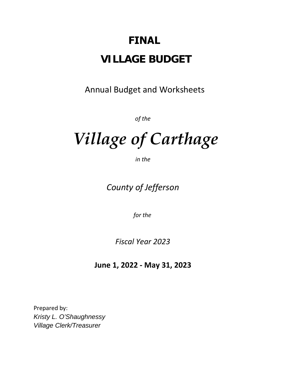# **FINAL**

# **VILLAGE BUDGET**

Annual Budget and Worksheets

*of the* 

*Village of Carthage*

*in the* 

*County of Jefferson*

*for the*

*Fiscal Year 2023*

**June 1, 2022 - May 31, 2023**

Prepared by: *Kristy L. O'Shaughnessy Village Clerk/Treasurer*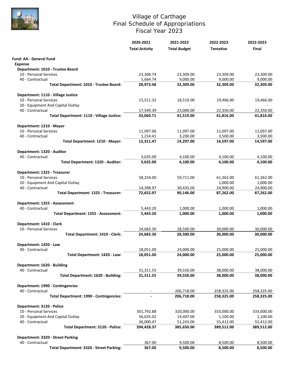

### Village of Carthage Final Schedule of Appropriations Fiscal Year 2023

|                                                        | 2020-2021             | 2021-2022           | 2022-2023        | 2022-2023  |
|--------------------------------------------------------|-----------------------|---------------------|------------------|------------|
|                                                        | <b>Total Activity</b> | <b>Total Budget</b> | <b>Tentative</b> | Final      |
| <b>Fund: AA - General Fund</b>                         |                       |                     |                  |            |
| <b>Expense</b>                                         |                       |                     |                  |            |
| Department: 1010 - Trustee Board                       |                       |                     |                  |            |
| 10 - Personal Services                                 | 23,308.74             | 23,309.00           | 23,309.00        | 23,309.00  |
| 40 - Contractual                                       | 5,664.74              | 9,000.00            | 9,000.00         | 9,000.00   |
| Total Department: 1010 - Trustee Board:                | 28,973.48             | 32,309.00           | 32,309.00        | 32,309.00  |
| Department: 1110 - Village Justice                     |                       |                     |                  |            |
| 10 - Personal Services                                 | 15,511.32             | 18,519.00           | 19,466.00        | 19,466.00  |
| 20 - Equipment And Capital Outlay                      |                       |                     |                  |            |
| 40 - Contractual                                       | 17,549.39             | 23,000.00           | 22,350.00        | 22,350.00  |
| Total Department: 1110 - Village Justice:              | 33,060.71             | 41,519.00           | 41,816.00        | 41,816.00  |
| Department: 1210 - Mayor                               |                       |                     |                  |            |
| 10 - Personal Services                                 | 11,097.06             | 11,097.00           | 11,097.00        | 11,097.00  |
| 40 - Contractual                                       | 1,214.41              | 3,200.00            | 3,500.00         | 3,500.00   |
| Total Department: 1210 - Mayor:                        | 12,311.47             | 14,297.00           | 14,597.00        | 14,597.00  |
| Department: 1320 - Auditor                             |                       |                     |                  |            |
| 40 - Contractual                                       | 3,635.00              | 4,100.00            | 4,100.00         | 4,100.00   |
| Total Department: 1320 - Auditor:                      | 3,635.00              | 4,100.00            | 4,100.00         | 4,100.00   |
|                                                        |                       |                     |                  |            |
| Department: 1325 - Treasurer<br>10 - Personal Services | 58,254.00             | 59,711.00           | 61,362.00        | 61,362.00  |
| 20 - Equipment And Capital Outlay                      |                       |                     | 1,000.00         | 1,000.00   |
| 40 - Contractual                                       | 14,398.97             | 30,435.00           | 24,900.00        | 24,900.00  |
| Total Department: 1325 - Treasurer:                    | 72,652.97             | 90,146.00           | 87,262.00        | 87,262.00  |
| Department: 1355 - Assessment                          |                       |                     |                  |            |
| 40 - Contractual                                       | 5,443.20              | 1,000.00            | 1,000.00         | 1,000.00   |
| Total Department: 1355 - Assessment:                   | 5,443.20              | 1,000.00            | 1,000.00         | 1,000.00   |
|                                                        |                       |                     |                  |            |
| Department: 1410 - Clerk                               |                       |                     |                  |            |
| 10 - Personal Services                                 | 24,683.30             | 28,500.00           | 30,000.00        | 30,000.00  |
| Total Department: 1410 - Clerk:                        | 24,683.30             | 28,500.00           | 30,000.00        | 30,000.00  |
| Department: 1420 - Law                                 |                       |                     |                  |            |
| 40 - Contractual                                       | 18,051.00             | 24,000.00           | 25,000.00        | 25,000.00  |
| Total Department: 1420 - Law:                          | 18,051.00             | 24,000.00           | 25,000.00        | 25,000.00  |
| Department: 1620 - Building                            |                       |                     |                  |            |
| 40 - Contractual                                       | 31,311.55             | 39,550.00           | 38,000.00        | 38,000.00  |
| Total Department: 1620 - Building:                     | 31,311.55             | 39,550.00           | 38,000.00        | 38,000.00  |
| Department: 1990 - Contingencies                       |                       |                     |                  |            |
| 40 - Contractual                                       |                       | 206,718.00          | 258,325.00       | 258,325.00 |
| Total Department: 1990 - Contingencies:                |                       | 206,718.00          | 258,325.00       | 258,325.00 |
| Department: 3120 - Police                              |                       |                     |                  |            |
| 10 - Personal Services                                 | 301,792.88            | 320,000.00          | 333,000.00       | 333,000.00 |
| 20 - Equipment And Capital Outlay                      | 56,635.02             | 14,407.00           | 1,100.00         | 1,100.00   |
| 40 - Contractual                                       | 36,000.47             | 51,243.00           | 55,412.00        | 55,412.00  |
| Total Department: 3120 - Police:                       | 394,428.37            | 385,650.00          | 389,512.00       | 389,512.00 |
| Department: 3320 - Street Parking                      |                       |                     |                  |            |
| 40 - Contractual                                       | 367.00                | 9,500.00            | 8,500.00         | 8,500.00   |
| Total Department: 3320 - Street Parking:               | 367.00                | 9,500.00            | 8,500.00         | 8,500.00   |
|                                                        |                       |                     |                  |            |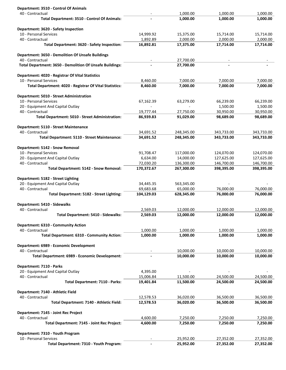| Department: 3510 - Control Of Animals                                      |                        |                      |                      |                      |
|----------------------------------------------------------------------------|------------------------|----------------------|----------------------|----------------------|
| 40 - Contractual                                                           |                        | 1,000.00             | 1,000.00             | 1,000.00             |
| Total Department: 3510 - Control Of Animals:                               |                        | 1,000.00             | 1,000.00             | 1,000.00             |
| Department: 3620 - Safety Inspection                                       |                        |                      |                      |                      |
| 10 - Personal Services                                                     | 14,999.92              | 15,375.00            | 15,714.00            | 15,714.00            |
| 40 - Contractual                                                           | 1,892.89               | 2,000.00             | 2,000.00             | 2,000.00             |
| Total Department: 3620 - Safety Inspection:                                | 16,892.81              | 17,375.00            | 17,714.00            | 17,714.00            |
|                                                                            |                        |                      |                      |                      |
| <b>Department: 3650 - Demolition Of Unsafe Buildings</b>                   |                        |                      |                      |                      |
| 40 - Contractual                                                           |                        | 27,700.00            |                      |                      |
| Total Department: 3650 - Demolition Of Unsafe Buildings:                   |                        | 27,700.00            |                      |                      |
|                                                                            |                        |                      |                      |                      |
| Department: 4020 - Registrar Of Vital Statistics<br>10 - Personal Services |                        |                      |                      |                      |
|                                                                            | 8,460.00<br>8,460.00   | 7,000.00<br>7,000.00 | 7,000.00<br>7,000.00 | 7,000.00<br>7,000.00 |
| Total Department: 4020 - Registrar Of Vital Statistics:                    |                        |                      |                      |                      |
| Department: 5010 - Street Administration                                   |                        |                      |                      |                      |
| 10 - Personal Services                                                     | 67,162.39              | 63,279.00            | 66,239.00            | 66,239.00            |
| 20 - Equipment And Capital Outlay                                          |                        |                      | 1,500.00             | 1,500.00             |
| 40 - Contractual                                                           | 19,777.44              | 27,750.00            | 30,950.00            | 30,950.00            |
| Total Department: 5010 - Street Administration:                            | 86,939.83              | 91,029.00            | 98,689.00            | 98,689.00            |
|                                                                            |                        |                      |                      |                      |
| Department: 5110 - Street Maintenance<br>40 - Contractual                  |                        | 248,345.00           |                      |                      |
|                                                                            | 34,691.52<br>34,691.52 | 248,345.00           | 343,733.00           | 343,733.00           |
| Total Department: 5110 - Street Maintenance:                               |                        |                      | 343,733.00           | 343,733.00           |
| Department: 5142 - Snow Removal                                            |                        |                      |                      |                      |
| 10 - Personal Services                                                     | 91,708.47              | 117,000.00           | 124,070.00           | 124,070.00           |
| 20 - Equipment And Capital Outlay                                          | 6,634.00               | 14,000.00            | 127,625.00           | 127,625.00           |
| 40 - Contractual                                                           | 72,030.20              | 136,300.00           | 146,700.00           | 146,700.00           |
| Total Department: 5142 - Snow Removal:                                     | 170,372.67             | 267,300.00           | 398,395.00           | 398,395.00           |
| Department: 5182 - Street Lighting                                         |                        |                      |                      |                      |
| 20 - Equipment And Capital Outlay                                          | 34,445.35              | 563,345.00           |                      |                      |
| 40 - Contractual                                                           | 69,683.68              | 65,000.00            | 76,000.00            | 76,000.00            |
| Total Department: 5182 - Street Lighting:                                  | 104,129.03             | 628,345.00           | 76,000.00            | 76,000.00            |
|                                                                            |                        |                      |                      |                      |
| Department: 5410 - Sidewalks                                               |                        |                      |                      |                      |
| 40 - Contractual                                                           | 2,569.03               | 12,000.00            | 12,000.00            | 12,000.00            |
| Total Department: 5410 - Sidewalks:                                        | 2,569.03               | 12,000.00            | 12,000.00            | 12,000.00            |
| Department: 6310 - Community Action                                        |                        |                      |                      |                      |
| 40 - Contractual                                                           | 1,000.00               | 1,000.00             | 1,000.00             | 1,000.00             |
| <b>Total Department: 6310 - Community Action:</b>                          | 1,000.00               | 1,000.00             | 1,000.00             | 1,000.00             |
|                                                                            |                        |                      |                      |                      |
| Department: 6989 - Economic Development                                    |                        |                      |                      |                      |
| 40 - Contractual                                                           |                        | 10,000.00            | 10,000.00            | 10,000.00            |
| Total Department: 6989 - Economic Development:                             |                        | 10,000.00            | 10,000.00            | 10,000.00            |
| Department: 7110 - Parks                                                   |                        |                      |                      |                      |
| 20 - Equipment And Capital Outlay                                          | 4.395.00               |                      |                      |                      |
| 40 - Contractual                                                           | 15,006.84              | 11,500.00            | 24,500.00            | 24,500.00            |
| Total Department: 7110 - Parks:                                            | 19,401.84              | 11,500.00            | 24,500.00            | 24,500.00            |
|                                                                            |                        |                      |                      |                      |
| Department: 7140 - Athletic Field                                          |                        |                      |                      |                      |
| 40 - Contractual                                                           | 12,578.53              | 36,020.00            | 36,500.00            | 36,500.00            |
| Total Department: 7140 - Athletic Field:                                   | 12,578.53              | 36,020.00            | 36,500.00            | 36,500.00            |
| Department: 7145 - Joint Rec Project                                       |                        |                      |                      |                      |
| 40 - Contractual                                                           | 4,600.00               | 7,250.00             | 7,250.00             | 7,250.00             |
| Total Department: 7145 - Joint Rec Project:                                | 4,600.00               | 7,250.00             | 7,250.00             | 7,250.00             |
|                                                                            |                        |                      |                      |                      |
| Department: 7310 - Youth Program                                           |                        |                      |                      |                      |
| 10 - Personal Services                                                     |                        | 25,952.00            | 27,352.00            | 27,352.00            |
| Total Department: 7310 - Youth Program:                                    |                        | 25,952.00            | 27,352.00            | 27,352.00            |
|                                                                            |                        |                      |                      |                      |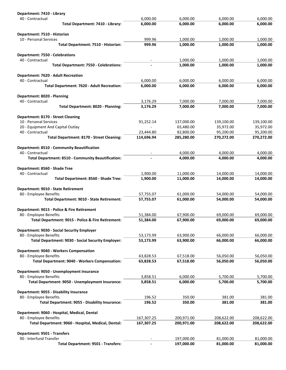| Department: 7410 - Library                                |            |            |            |            |
|-----------------------------------------------------------|------------|------------|------------|------------|
| 40 - Contractual                                          | 6,000.00   | 6,000.00   | 6,000.00   | 6,000.00   |
| Total Department: 7410 - Library:                         | 6.000.00   | 6.000.00   | 6,000.00   | 6,000.00   |
| Department: 7510 - Historian                              |            |            |            |            |
| 10 - Personal Services                                    | 999.96     | 1,000.00   | 1,000.00   | 1,000.00   |
| Total Department: 7510 - Historian:                       | 999.96     | 1,000.00   | 1,000.00   | 1,000.00   |
| <b>Department: 7550 - Celebrations</b>                    |            |            |            |            |
| 40 - Contractual                                          |            | 1,000.00   | 1,000.00   | 1,000.00   |
| <b>Total Department: 7550 - Celebrations:</b>             |            | 1,000.00   | 1,000.00   | 1,000.00   |
| <b>Department: 7620 - Adult Recreation</b>                |            |            |            |            |
| 40 - Contractual                                          | 6,000.00   | 6,000.00   | 6,000.00   | 6,000.00   |
| Total Department: 7620 - Adult Recreation:                | 6,000.00   | 6,000.00   | 6,000.00   | 6,000.00   |
| Department: 8020 - Planning                               |            |            |            |            |
| 40 - Contractual                                          | 3,176.29   | 7,000.00   | 7,000.00   | 7,000.00   |
| Total Department: 8020 - Planning:                        | 3,176.29   | 7,000.00   | 7,000.00   | 7,000.00   |
| Department: 8170 - Street Cleaning                        |            |            |            |            |
| 10 - Personal Services                                    | 91,252.14  | 137,000.00 | 139,100.00 | 139,100.00 |
| 20 - Equipment And Capital Outlay                         |            | 65,480.00  | 35,972.00  | 35,972.00  |
| 40 - Contractual                                          | 23,444.80  | 82,800.00  | 95,200.00  | 95,200.00  |
| <b>Total Department: 8170 - Street Cleaning:</b>          | 114,696.94 | 285,280.00 | 270,272.00 | 270,272.00 |
| <b>Department: 8510 - Community Beautification</b>        |            |            |            |            |
| 40 - Contractual                                          |            | 4,000.00   | 4,000.00   | 4,000.00   |
| <b>Total Department: 8510 - Community Beautification:</b> |            | 4,000.00   | 4,000.00   | 4,000.00   |
| Department: 8560 - Shade Tree                             |            |            |            |            |
| 40 - Contractual                                          | 1,900.00   | 11,000.00  | 14,000.00  | 14,000.00  |
| Total Department: 8560 - Shade Tree:                      | 1,900.00   | 11,000.00  | 14,000.00  | 14,000.00  |
| Department: 9010 - State Retirement                       |            |            |            |            |
| 80 - Employee Benefits                                    | 57,755.07  | 61,000.00  | 54,000.00  | 54,000.00  |
| Total Department: 9010 - State Retirement:                | 57,755.07  | 61,000.00  | 54,000.00  | 54,000.00  |
| Department: 9015 - Police & Fire Retirement               |            |            |            |            |
| 80 - Employee Benefits                                    | 51,384.00  | 67,900.00  | 69,000.00  | 69,000.00  |
| Total Department: 9015 - Police & Fire Retirement:        | 51,384.00  | 67,900.00  | 69,000.00  | 69,000.00  |
| <b>Department: 9030 - Social Security Employer</b>        |            |            |            |            |
| 80 - Employee Benefits                                    | 53,173.99  | 63,900.00  | 66,000.00  | 66,000.00  |
| Total Department: 9030 - Social Security Employer:        | 53,173.99  | 63,900.00  | 66,000.00  | 66,000.00  |
| Department: 9040 - Workers Compensation                   |            |            |            |            |
| 80 - Employee Benefits                                    | 63,828.53  | 67,518.00  | 56,050.00  | 56,050.00  |
| Total Department: 9040 - Workers Compensation:            | 63,828.53  | 67,518.00  | 56,050.00  | 56,050.00  |
| Department: 9050 - Unemployment Insurance                 |            |            |            |            |
| 80 - Employee Benefits                                    | 3,858.51   | 6,000.00   | 5,700.00   | 5,700.00   |
| Total Department: 9050 - Unemployment Insurance:          | 3,858.51   | 6,000.00   | 5,700.00   | 5,700.00   |
| Department: 9055 - Disability Insurance                   |            |            |            |            |
| 80 - Employee Benefits                                    | 196.52     | 350.00     | 381.00     | 381.00     |
| Total Department: 9055 - Disability Insurance:            | 196.52     | 350.00     | 381.00     | 381.00     |
| Department: 9060 - Hospital, Medical, Dental              |            |            |            |            |
| 80 - Employee Benefits                                    | 167,307.25 | 200,971.00 | 208,622.00 | 208,622.00 |
| Total Department: 9060 - Hospital, Medical, Dental:       | 167,307.25 | 200,971.00 | 208,622.00 | 208,622.00 |
| Department: 9501 - Transfers                              |            |            |            |            |
| 90 - Interfund Transfer                                   |            | 197,000.00 | 81,000.00  | 81,000.00  |
| Total Department: 9501 - Transfers:                       |            | 197,000.00 | 81,000.00  | 81,000.00  |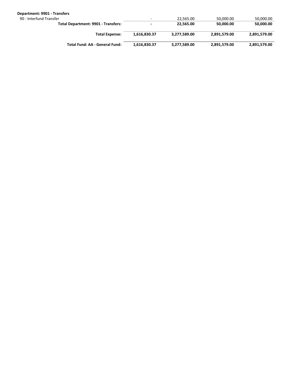| Department: 9901 - Transfers        |              |              |              |              |
|-------------------------------------|--------------|--------------|--------------|--------------|
| 90 - Interfund Transfer             |              | 22.565.00    | 50,000.00    | 50,000.00    |
| Total Department: 9901 - Transfers: |              | 22.565.00    | 50.000.00    | 50,000.00    |
| <b>Total Expense:</b>               | 1.616.830.37 | 3.277.589.00 | 2,891,579.00 | 2,891,579.00 |
| Total Fund: AA - General Fund:      | 1,616,830.37 | 3,277,589.00 | 2,891,579.00 | 2,891,579.00 |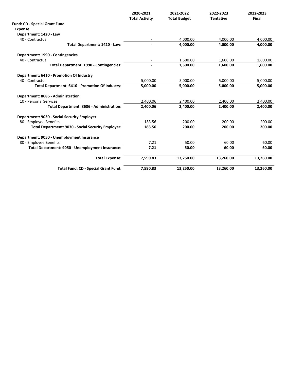|                                                           | 2020-2021<br><b>Total Activity</b> | 2021-2022<br><b>Total Budget</b> | 2022-2023<br><b>Tentative</b> | 2022-2023<br>Final |
|-----------------------------------------------------------|------------------------------------|----------------------------------|-------------------------------|--------------------|
| <b>Fund: CD - Special Grant Fund</b>                      |                                    |                                  |                               |                    |
| <b>Expense</b>                                            |                                    |                                  |                               |                    |
| Department: 1420 - Law                                    |                                    |                                  |                               |                    |
| 40 - Contractual                                          |                                    | 4,000.00                         | 4.000.00                      | 4,000.00           |
| Total Department: 1420 - Law:                             |                                    | 4.000.00                         | 4.000.00                      | 4,000.00           |
| Department: 1990 - Contingencies                          |                                    |                                  |                               |                    |
| 40 - Contractual                                          |                                    | 1.600.00                         | 1.600.00                      | 1,600.00           |
| <b>Total Department: 1990 - Contingencies:</b>            |                                    | 1,600.00                         | 1.600.00                      | 1,600.00           |
| Department: 6410 - Promotion Of Industry                  |                                    |                                  |                               |                    |
| 40 - Contractual                                          | 5.000.00                           | 5.000.00                         | 5.000.00                      | 5.000.00           |
| Total Department: 6410 - Promotion Of Industry:           | 5,000.00                           | 5.000.00                         | 5.000.00                      | 5,000.00           |
| Department: 8686 - Administration                         |                                    |                                  |                               |                    |
| 10 - Personal Services                                    | 2,400.06                           | 2,400.00                         | 2,400.00                      | 2,400.00           |
| Total Department: 8686 - Administration:                  | 2.400.06                           | 2.400.00                         | 2,400.00                      | 2,400.00           |
| Department: 9030 - Social Security Employer               |                                    |                                  |                               |                    |
| 80 - Employee Benefits                                    | 183.56                             | 200.00                           | 200.00                        | 200.00             |
| <b>Total Department: 9030 - Social Security Employer:</b> | 183.56                             | 200.00                           | 200.00                        | 200.00             |
| Department: 9050 - Unemployment Insurance                 |                                    |                                  |                               |                    |
| 80 - Employee Benefits                                    | 7.21                               | 50.00                            | 60.00                         | 60.00              |
| Total Department: 9050 - Unemployment Insurance:          | 7.21                               | 50.00                            | 60.00                         | 60.00              |
| <b>Total Expense:</b>                                     | 7,590.83                           | 13,250.00                        | 13,260.00                     | 13,260.00          |
| <b>Total Fund: CD - Special Grant Fund:</b>               | 7,590.83                           | 13,250.00                        | 13,260.00                     | 13,260.00          |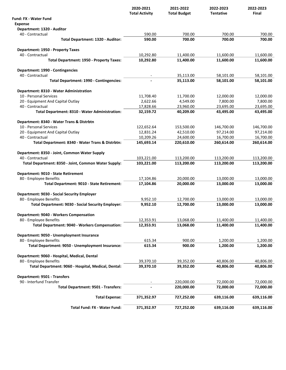|                                                      | 2020-2021<br><b>Total Activity</b> | 2021-2022<br><b>Total Budget</b> | 2022-2023<br><b>Tentative</b> | 2022-2023<br>Final |
|------------------------------------------------------|------------------------------------|----------------------------------|-------------------------------|--------------------|
| <b>Fund: FX - Water Fund</b>                         |                                    |                                  |                               |                    |
| <b>Expense</b>                                       |                                    |                                  |                               |                    |
| Department: 1320 - Auditor                           |                                    |                                  |                               |                    |
| 40 - Contractual                                     | 590.00                             | 700.00                           | 700.00                        | 700.00             |
| Total Department: 1320 - Auditor:                    | 590.00                             | 700.00                           | 700.00                        | 700.00             |
| <b>Department: 1950 - Property Taxes</b>             |                                    |                                  |                               |                    |
| 40 - Contractual                                     | 10,292.80                          | 11,400.00                        | 11,600.00                     | 11,600.00          |
| Total Department: 1950 - Property Taxes:             | 10,292.80                          | 11,400.00                        | 11,600.00                     | 11,600.00          |
| Department: 1990 - Contingencies                     |                                    |                                  |                               |                    |
| 40 - Contractual                                     |                                    | 35,113.00                        | 58,101.00                     | 58,101.00          |
| Total Department: 1990 - Contingencies:              |                                    | 35,113.00                        | 58,101.00                     | 58,101.00          |
| Department: 8310 - Water Administration              |                                    |                                  |                               |                    |
| 10 - Personal Services                               | 11,708.40                          | 11,700.00                        | 12,000.00                     | 12,000.00          |
| 20 - Equipment And Capital Outlay                    | 2,622.66                           | 4,549.00                         | 7,800.00                      | 7,800.00           |
| 40 - Contractual                                     | 17,828.66                          | 23,960.00                        | 23,695.00                     | 23,695.00          |
| Total Department: 8310 - Water Administration:       | 32,159.72                          | 40,209.00                        | 43,495.00                     | 43,495.00          |
| Department: 8340 - Water Trans & Distrbtn            |                                    |                                  |                               |                    |
| 10 - Personal Services                               | 122,652.64                         | 153,500.00                       | 146,700.00                    | 146,700.00         |
| 20 - Equipment And Capital Outlay                    | 12,831.24                          | 42,510.00                        | 97,214.00                     | 97,214.00          |
| 40 - Contractual                                     | 10,209.26                          | 24,600.00                        | 16,700.00                     | 16,700.00          |
| Total Department: 8340 - Water Trans & Distrbtn:     | 145,693.14                         | 220,610.00                       | 260,614.00                    | 260,614.00         |
| Department: 8350 - Joint, Common Water Supply        |                                    |                                  |                               |                    |
| 40 - Contractual                                     | 103,221.00                         | 113,200.00                       | 113,200.00                    | 113,200.00         |
| Total Department: 8350 - Joint, Common Water Supply: | 103,221.00                         | 113,200.00                       | 113,200.00                    | 113,200.00         |
| Department: 9010 - State Retirement                  |                                    |                                  |                               |                    |
| 80 - Employee Benefits                               | 17,104.86                          | 20,000.00                        | 13,000.00                     | 13,000.00          |
| Total Department: 9010 - State Retirement:           | 17,104.86                          | 20,000.00                        | 13,000.00                     | 13,000.00          |
| Department: 9030 - Social Security Employer          |                                    |                                  |                               |                    |
| 80 - Employee Benefits                               | 9,952.10                           | 12,700.00                        | 13,000.00                     | 13,000.00          |
| Total Department: 9030 - Social Security Employer:   | 9,952.10                           | 12,700.00                        | 13,000.00                     | 13,000.00          |
| Department: 9040 - Workers Compensation              |                                    |                                  |                               |                    |
| 80 - Employee Benefits                               | 12,353.91                          | 13,068.00                        | 11,400.00                     | 11,400.00          |
| Total Department: 9040 - Workers Compensation:       | 12,353.91                          | 13,068.00                        | 11,400.00                     | 11,400.00          |
| Department: 9050 - Unemployment Insurance            |                                    |                                  |                               |                    |
| 80 - Employee Benefits                               | 615.34                             | 900.00                           | 1,200.00                      | 1,200.00           |
| Total Department: 9050 - Unemployment Insurance:     | 615.34                             | 900.00                           | 1,200.00                      | 1,200.00           |
| Department: 9060 - Hospital, Medical, Dental         |                                    |                                  |                               |                    |
| 80 - Employee Benefits                               | 39,370.10                          | 39,352.00                        | 40,806.00                     | 40,806.00          |
| Total Department: 9060 - Hospital, Medical, Dental:  | 39,370.10                          | 39,352.00                        | 40,806.00                     | 40,806.00          |
| Department: 9501 - Transfers                         |                                    |                                  |                               |                    |
| 90 - Interfund Transfer                              |                                    | 220,000.00                       | 72,000.00                     | 72,000.00          |
| Total Department: 9501 - Transfers:                  |                                    | 220,000.00                       | 72,000.00                     | 72,000.00          |
| <b>Total Expense:</b>                                | 371,352.97                         | 727,252.00                       | 639,116.00                    | 639,116.00         |
| Total Fund: FX - Water Fund:                         | 371,352.97                         | 727,252.00                       | 639,116.00                    | 639,116.00         |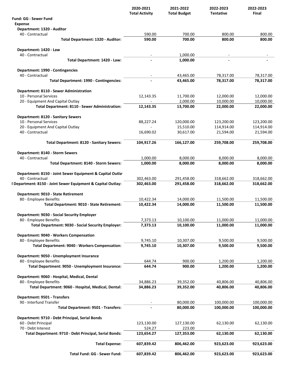|                                                              | 2020-2021             | 2021-2022           | 2022-2023                | 2022-2023  |
|--------------------------------------------------------------|-----------------------|---------------------|--------------------------|------------|
|                                                              | <b>Total Activity</b> | <b>Total Budget</b> | <b>Tentative</b>         | Final      |
| <b>Fund: GG - Sewer Fund</b><br><b>Expense</b>               |                       |                     |                          |            |
| Department: 1320 - Auditor                                   |                       |                     |                          |            |
| 40 - Contractual                                             | 590.00                | 700.00              | 800.00                   | 800.00     |
| Total Department: 1320 - Auditor:                            | 590.00                | 700.00              | 800.00                   | 800.00     |
| Department: 1420 - Law                                       |                       |                     |                          |            |
| 40 - Contractual                                             |                       | 1,000.00            | $\overline{\phantom{a}}$ |            |
| Total Department: 1420 - Law:                                |                       | 1,000.00            |                          |            |
| Department: 1990 - Contingencies                             |                       |                     |                          |            |
| 40 - Contractual                                             |                       | 43,465.00           | 78,317.00                | 78,317.00  |
| Total Department: 1990 - Contingencies:                      |                       | 43,465.00           | 78,317.00                | 78,317.00  |
| Department: 8110 - Sewer Administration                      |                       |                     |                          |            |
| 10 - Personal Services                                       | 12,143.35             | 11,700.00           | 12,000.00                | 12,000.00  |
| 20 - Equipment And Capital Outlay                            |                       | 2,000.00            | 10,000.00                | 10,000.00  |
| Total Department: 8110 - Sewer Administration:               | 12,143.35             | 13,700.00           | 22,000.00                | 22,000.00  |
| Department: 8120 - Sanitary Sewers                           |                       |                     |                          |            |
| 10 - Personal Services                                       | 88,227.24             | 120,000.00          | 123,200.00               | 123,200.00 |
| 20 - Equipment And Capital Outlay                            |                       | 15,510.00           | 114,914.00               | 114,914.00 |
| 40 - Contractual                                             | 16,690.02             | 30,617.00           | 21,594.00                | 21,594.00  |
| Total Department: 8120 - Sanitary Sewers:                    | 104,917.26            | 166,127.00          | 259,708.00               | 259,708.00 |
| Department: 8140 - Storm Sewers                              |                       |                     |                          |            |
| 40 - Contractual                                             | 1,000.00              | 8,000.00            | 8,000.00                 | 8,000.00   |
| Total Department: 8140 - Storm Sewers:                       | 1,000.00              | 8,000.00            | 8,000.00                 | 8,000.00   |
| Department: 8150 - Joint Sewer Equipment & Capital Outlay    |                       |                     |                          |            |
| 40 - Contractual                                             | 302,463.00            | 291,458.00          | 318,662.00               | 318,662.00 |
| I Department: 8150 - Joint Sewer Equipment & Capital Outlay: | 302,463.00            | 291,458.00          | 318,662.00               | 318,662.00 |
| Department: 9010 - State Retirement                          |                       |                     |                          |            |
| 80 - Employee Benefits                                       | 10,422.34             | 14,000.00           | 11,500.00                | 11,500.00  |
| Total Department: 9010 - State Retirement:                   | 10,422.34             | 14,000.00           | 11,500.00                | 11,500.00  |
| Department: 9030 - Social Security Employer                  |                       |                     |                          |            |
| 80 - Employee Benefits                                       | 7,373.13              | 10,100.00           | 11,000.00                | 11,000.00  |
| Total Department: 9030 - Social Security Employer:           | 7,373.13              | 10,100.00           | 11,000.00                | 11,000.00  |
| Department: 9040 - Workers Compensation                      |                       |                     |                          |            |
| 80 - Employee Benefits                                       | 9,745.10              | 10,307.00           | 9,500.00                 | 9,500.00   |
| Total Department: 9040 - Workers Compensation:               | 9,745.10              | 10,307.00           | 9,500.00                 | 9,500.00   |
| Department: 9050 - Unemployment Insurance                    |                       |                     |                          |            |
| 80 - Employee Benefits                                       | 644.74                | 900.00              | 1,200.00                 | 1,200.00   |
| Total Department: 9050 - Unemployment Insurance:             | 644.74                | 900.00              | 1,200.00                 | 1,200.00   |
| Department: 9060 - Hospital, Medical, Dental                 |                       |                     |                          |            |
| 80 - Employee Benefits                                       | 34,886.23             | 39,352.00           | 40,806.00                | 40,806.00  |
| Total Department: 9060 - Hospital, Medical, Dental:          | 34,886.23             | 39,352.00           | 40,806.00                | 40,806.00  |
| Department: 9501 - Transfers                                 |                       |                     |                          |            |
| 90 - Interfund Transfer                                      |                       | 80,000.00           | 100,000.00               | 100,000.00 |
| Total Department: 9501 - Transfers:                          |                       | 80,000.00           | 100,000.00               | 100,000.00 |
| Department: 9710 - Debt Principal, Serial Bonds              |                       |                     |                          |            |
| 60 - Debt Principal                                          | 123,130.00            | 127,130.00          | 62,130.00                | 62,130.00  |
| 70 - Debt Interest                                           | 524.27                | 223.00              |                          |            |
| Total Department: 9710 - Debt Principal, Serial Bonds:       | 123,654.27            | 127,353.00          | 62,130.00                | 62,130.00  |
| <b>Total Expense:</b>                                        | 607,839.42            | 806,462.00          | 923,623.00               | 923,623.00 |
| <b>Total Fund: GG - Sewer Fund:</b>                          | 607,839.42            | 806,462.00          | 923,623.00               | 923,623.00 |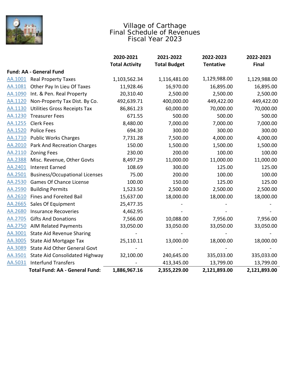

### Village of Carthage Final Schedule of Revenues Fiscal Year 2023

|         |                                       | 2020-2021             | 2021-2022           | 2022-2023        | 2022-2023    |
|---------|---------------------------------------|-----------------------|---------------------|------------------|--------------|
|         |                                       | <b>Total Activity</b> | <b>Total Budget</b> | <b>Tentative</b> | <b>Final</b> |
|         | <b>Fund: AA - General Fund</b>        |                       |                     |                  |              |
| AA.1001 | <b>Real Property Taxes</b>            | 1,103,562.34          | 1,116,481.00        | 1,129,988.00     | 1,129,988.00 |
| AA.1081 | Other Pay In Lieu Of Taxes            | 11,928.46             | 16,970.00           | 16,895.00        | 16,895.00    |
| AA.1090 | Int. & Pen. Real Property             | 20,310.40             | 2,500.00            | 2,500.00         | 2,500.00     |
| AA.1120 | Non-Property Tax Dist. By Co.         | 492,639.71            | 400,000.00          | 449,422.00       | 449,422.00   |
| AA.1130 | <b>Utilities Gross Receipts Tax</b>   | 86,861.23             | 60,000.00           | 70,000.00        | 70,000.00    |
| AA.1230 | <b>Treasurer Fees</b>                 | 671.55                | 500.00              | 500.00           | 500.00       |
| AA.1255 | <b>Clerk Fees</b>                     | 8,480.00              | 7,000.00            | 7,000.00         | 7,000.00     |
| AA.1520 | <b>Police Fees</b>                    | 694.30                | 300.00              | 300.00           | 300.00       |
| AA.1710 | <b>Public Works Charges</b>           | 7,731.28              | 7,500.00            | 4,000.00         | 4,000.00     |
| AA.2010 | <b>Park And Recreation Charges</b>    | 150.00                | 1,500.00            | 1,500.00         | 1,500.00     |
| AA.2110 | <b>Zoning Fees</b>                    | 230.00                | 200.00              | 100.00           | 100.00       |
| AA.2388 | Misc. Revenue, Other Govts            | 8,497.29              | 11,000.00           | 11,000.00        | 11,000.00    |
| AA.2401 | <b>Interest Earned</b>                | 108.69                | 300.00              | 125.00           | 125.00       |
| AA.2501 | <b>Business/Occupational Licenses</b> | 75.00                 | 200.00              | 100.00           | 100.00       |
| AA.2530 | <b>Games Of Chance License</b>        | 100.00                | 150.00              | 125.00           | 125.00       |
| AA.2590 | <b>Building Permits</b>               | 1,523.50              | 2,500.00            | 2,500.00         | 2,500.00     |
| AA.2610 | <b>Fines and Foreited Bail</b>        | 15,637.00             | 18,000.00           | 18,000.00        | 18,000.00    |
| AA.2665 | Sales Of Equipment                    | 25,477.35             |                     |                  |              |
| AA.2680 | <b>Insurance Recoveries</b>           | 4,462.95              |                     |                  |              |
| AA.2705 | <b>Gifts And Donations</b>            | 7,566.00              | 10,088.00           | 7,956.00         | 7,956.00     |
| AA.2750 | <b>AIM Related Payments</b>           | 33,050.00             | 33,050.00           | 33,050.00        | 33,050.00    |
| AA.3001 | <b>State Aid Revenue Sharing</b>      |                       |                     |                  |              |
| AA.3005 | State Aid Mortgage Tax                | 25,110.11             | 13,000.00           | 18,000.00        | 18,000.00    |
| AA.3089 | State Aid Other General Govt          |                       |                     |                  |              |
| AA.3501 | State Aid Consolidated Highway        | 32,100.00             | 240,645.00          | 335,033.00       | 335,033.00   |
| AA.5031 | <b>Interfund Transfers</b>            |                       | 413,345.00          | 13,799.00        | 13,799.00    |
|         | <b>Total Fund: AA - General Fund:</b> | 1,886,967.16          | 2,355,229.00        | 2,121,893.00     | 2,121,893.00 |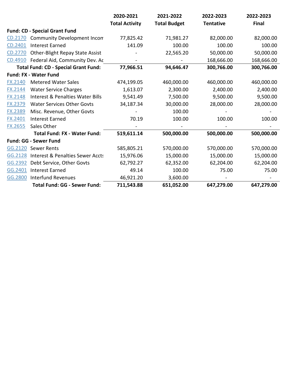|                |                                             | 2020-2021             | 2021-2022           | 2022-2023        | 2022-2023    |
|----------------|---------------------------------------------|-----------------------|---------------------|------------------|--------------|
|                |                                             | <b>Total Activity</b> | <b>Total Budget</b> | <b>Tentative</b> | <b>Final</b> |
|                | <b>Fund: CD - Special Grant Fund</b>        |                       |                     |                  |              |
| CD.2170        | <b>Community Development Incom</b>          | 77,825.42             | 71,981.27           | 82,000.00        | 82,000.00    |
| CD.2401        | <b>Interest Earned</b>                      | 141.09                | 100.00              | 100.00           | 100.00       |
| CD.2770        | <b>Other-Blight Repay State Assist</b>      |                       | 22,565.20           | 50,000.00        | 50,000.00    |
| CD.4910        | Federal Aid, Community Dev. Ac              |                       |                     | 168,666.00       | 168,666.00   |
|                | <b>Total Fund: CD - Special Grant Fund:</b> | 77,966.51             | 94,646.47           | 300,766.00       | 300,766.00   |
|                | <b>Fund: FX - Water Fund</b>                |                       |                     |                  |              |
| FX.2140        | <b>Metered Water Sales</b>                  | 474,199.05            | 460,000.00          | 460,000.00       | 460,000.00   |
| <b>FX.2144</b> | <b>Water Service Charges</b>                | 1,613.07              | 2,300.00            | 2,400.00         | 2,400.00     |
| <b>FX.2148</b> | <b>Interest &amp; Penalties Water Bills</b> | 9,541.49              | 7,500.00            | 9,500.00         | 9,500.00     |
| <b>FX.2379</b> | <b>Water Services Other Govts</b>           | 34,187.34             | 30,000.00           | 28,000.00        | 28,000.00    |
| <b>FX.2389</b> | Misc. Revenue, Other Govts                  |                       | 100.00              |                  |              |
| <b>FX.2401</b> | <b>Interest Earned</b>                      | 70.19                 | 100.00              | 100.00           | 100.00       |
| <b>FX.2655</b> | Sales Other                                 |                       |                     |                  |              |
|                | <b>Total Fund: FX - Water Fund:</b>         | 519,611.14            | 500,000.00          | 500,000.00       | 500,000.00   |
|                | <b>Fund: GG - Sewer Fund</b>                |                       |                     |                  |              |
|                | GG.2120 Sewer Rents                         | 585,805.21            | 570,000.00          | 570,000.00       | 570,000.00   |
| GG.2128        | <b>Interest &amp; Penalties Sewer Accts</b> | 15,976.06             | 15,000.00           | 15,000.00        | 15,000.00    |
| GG.2392        | Debt Service, Other Govts                   | 62,792.27             | 62,352.00           | 62,204.00        | 62,204.00    |
| GG.2401        | <b>Interest Earned</b>                      | 49.14                 | 100.00              | 75.00            | 75.00        |
| GG.2800        | <b>Interfund Revenues</b>                   | 46,921.20             | 3,600.00            |                  |              |
|                | <b>Total Fund: GG - Sewer Fund:</b>         | 711,543.88            | 651,052.00          | 647,279.00       | 647,279.00   |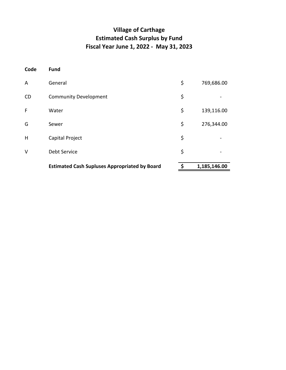# **Village of Carthage Estimated Cash Surplus by Fund Fiscal Year June 1, 2022 - May 31, 2023**

| Code      | <b>Fund</b>                                          |                    |
|-----------|------------------------------------------------------|--------------------|
| A         | General                                              | \$<br>769,686.00   |
| <b>CD</b> | <b>Community Development</b>                         | \$                 |
| F         | Water                                                | \$<br>139,116.00   |
| G         | Sewer                                                | \$<br>276,344.00   |
| H         | Capital Project                                      | \$                 |
| $\vee$    | Debt Service                                         | \$                 |
|           | <b>Estimated Cash Supluses Appropriated by Board</b> | \$<br>1,185,146.00 |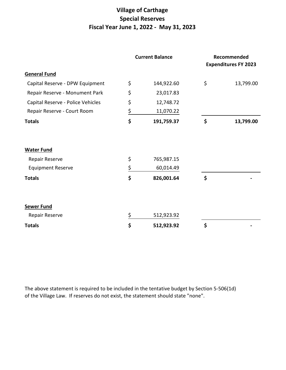## **Village of Carthage Special Reserves Fiscal Year June 1, 2022 - May 31, 2023**

|                                   | <b>Current Balance</b> |            | Recommended<br><b>Expenditures FY 2023</b> |           |
|-----------------------------------|------------------------|------------|--------------------------------------------|-----------|
| <b>General Fund</b>               |                        |            |                                            |           |
| Capital Reserve - DPW Equipment   | \$                     | 144,922.60 | \$                                         | 13,799.00 |
| Repair Reserve - Monument Park    | \$                     | 23,017.83  |                                            |           |
| Capital Reserve - Police Vehicles | \$                     | 12,748.72  |                                            |           |
| Repair Reserve - Court Room       | \$                     | 11,070.22  |                                            |           |
| <b>Totals</b>                     | \$                     | 191,759.37 | \$                                         | 13,799.00 |
| <b>Water Fund</b>                 |                        |            |                                            |           |
| Repair Reserve                    | \$                     | 765,987.15 |                                            |           |
| <b>Equipment Reserve</b>          | \$                     | 60,014.49  |                                            |           |
| <b>Totals</b>                     | \$                     | 826,001.64 | \$                                         |           |
| <b>Sewer Fund</b>                 |                        |            |                                            |           |
| Repair Reserve                    | \$                     | 512,923.92 |                                            |           |
| <b>Totals</b>                     | \$                     | 512,923.92 | \$                                         |           |

The above statement is required to be included in the tentative budget by Section 5-506(1d) of the Village Law. If reserves do not exist, the statement should state "none".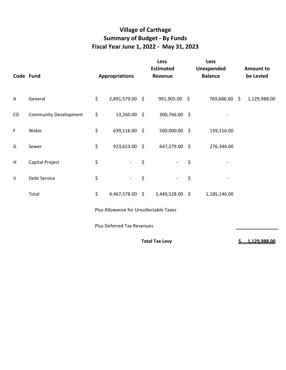# **Village of Carthage Summary of Budget - By Funds Fiscal Year June 1, 2022 - May 31, 2023**

|           | Code Fund                              |                                   | <b>Appropriations</b> |    | Less<br><b>Estimated</b><br>Revenue |    | <b>Less</b><br><b>Unexpended</b><br><b>Balance</b> |  | <b>Amount to</b><br>be Levied |
|-----------|----------------------------------------|-----------------------------------|-----------------------|----|-------------------------------------|----|----------------------------------------------------|--|-------------------------------|
| A         | General                                | \$                                | 2,891,579.00 \$       |    | 991,905.00 \$                       |    | 769,686.00 \$                                      |  | 1,129,988.00                  |
| <b>CD</b> | <b>Community Development</b>           | \$                                | 13,260.00 \$          |    | 300,766.00 \$                       |    |                                                    |  |                               |
| F         | Water                                  | \$                                | 639,116.00 \$         |    | 500,000.00 \$                       |    | 139,116.00                                         |  |                               |
| G         | Sewer                                  | \$                                | 923,623.00 \$         |    | 647,279.00 \$                       |    | 276,344.00                                         |  |                               |
| H         | Capital Project                        | \$                                |                       | \$ |                                     | \$ |                                                    |  |                               |
| $\vee$    | Debt Service                           | \$                                |                       | \$ |                                     | \$ |                                                    |  |                               |
|           | Total                                  | \$                                | 4,467,578.00 \$       |    | 2,440,528.00 \$                     |    | 1,185,146.00                                       |  |                               |
|           | Plus Allowance for Uncollectable Taxes |                                   |                       |    |                                     |    |                                                    |  |                               |
|           |                                        | <b>Plus Deferred Tax Revenues</b> |                       |    |                                     |    |                                                    |  |                               |

 **Total Tax Levy \$ 1,129,988.00**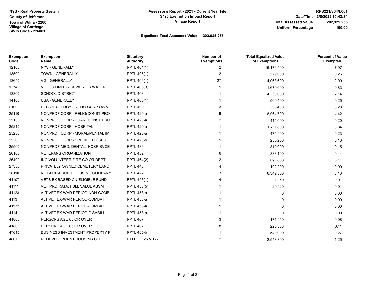#### **Assessor's Report - 2021 - Current Year File S495 Exemption Impact Report Village Report**

#### **Total Assessed Value Uniform Percentage RPS221/V04/L001 Date/Time - 3/8/2022 10:43:34 202,925,255 100.00**

#### **Equalized Total Assessed Value 202,925,255**

| <b>Exemption</b><br>Code | <b>Exemption</b><br>Name              | <b>Statutory</b><br><b>Authority</b> | <b>Number of</b><br><b>Exemptions</b> | <b>Total Equalized Value</b><br>of Exemptions | <b>Percent of Value</b><br><b>Exempted</b> |
|--------------------------|---------------------------------------|--------------------------------------|---------------------------------------|-----------------------------------------------|--------------------------------------------|
| 12100                    | NYS - GENERALLY                       | RPTL 404(1)                          | 2                                     | 16,176,500                                    | 7.97                                       |
| 13500                    | TOWN - GENERALLY                      | RPTL 406(1)                          | 2                                     | 529,000                                       | 0.26                                       |
| 13650                    | <b>VG - GENERALLY</b>                 | RPTL 406(1)                          | 27                                    | 4,063,600                                     | 2.00                                       |
| 13740                    | VG O/S LIMITS - SEWER OR WATER        | RPTL 406(3)                          |                                       | 1,679,000                                     | 0.83                                       |
| 13800                    | <b>SCHOOL DISTRICT</b>                | <b>RPTL 408</b>                      |                                       | 4,350,000                                     | 2.14                                       |
| 14100                    | <b>USA - GENERALLY</b>                | RPTL 400(1)                          |                                       | 509,400                                       | 0.25                                       |
| 21600                    | RES OF CLERGY - RELIG CORP OWN        | <b>RPTL 462</b>                      | 3                                     | 533,400                                       | 0.26                                       |
| 25110                    | NONPROF CORP - RELIG(CONST PRO        | <b>RPTL 420-a</b>                    | 9                                     | 8,964,700                                     | 4.42                                       |
| 25130                    | NONPROF CORP - CHAR (CONST PRO        | <b>RPTL 420-a</b>                    | 2                                     | 415,000                                       | 0.20                                       |
| 25210                    | NONPROF CORP - HOSPITAL               | <b>RPTL 420-a</b>                    |                                       | 1,711,800                                     | 0.84                                       |
| 25230                    | NONPROF CORP - MORAL/MENTAL IM        | <b>RPTL 420-a</b>                    |                                       | 475,900                                       | 0.23                                       |
| 25300                    | NONPROF CORP - SPECIFIED USES         | <b>RPTL 420-b</b>                    |                                       | 255,200                                       | 0.13                                       |
| 25500                    | NONPROF MED, DENTAL, HOSP SVCE        | RPTL 486                             |                                       | 310,000                                       | 0.15                                       |
| 26100                    | <b>VETERANS ORGANIZATION</b>          | <b>RPTL 452</b>                      | 6                                     | 888,100                                       | 0.44                                       |
| 26400                    | INC VOLUNTEER FIRE CO OR DEPT         | RPTL 464(2)                          | 2                                     | 893,000                                       | 0.44                                       |
| 27350                    | PRIVATELY OWNED CEMETERY LAND         | <b>RPTL 446</b>                      |                                       | 192,200                                       | 0.09                                       |
| 28110                    | NOT-FOR-PROFIT HOUSING COMPANY        | <b>RPTL 422</b>                      | 3                                     | 6,342,500                                     | 3.13                                       |
| 41107                    | VETS EX BASED ON ELIGIBLE FUND        | RPTL 458(1)                          |                                       | 11,250                                        | 0.01                                       |
| 41111                    | VET PRO RATA: FULL VALUE ASSMT        | RPTL 458(5)                          |                                       | 29,920                                        | 0.01                                       |
| 41123                    | ALT VET EX-WAR PERIOD-NON-COMB        | <b>RPTL 458-a</b>                    |                                       | 0                                             | 0.00                                       |
| 41131                    | ALT VET EX-WAR PERIOD-COMBAT          | <b>RPTL 458-a</b>                    |                                       | 0                                             | 0.00                                       |
| 41132                    | ALT VET EX-WAR PERIOD-COMBAT          | <b>RPTL 458-a</b>                    |                                       | 0                                             | 0.00                                       |
| 41141                    | ALT VET EX-WAR PERIOD-DISABILI        | <b>RPTL 458-a</b>                    |                                       | 0                                             | 0.00                                       |
| 41800                    | PERSONS AGE 65 OR OVER                | <b>RPTL 467</b>                      | 3                                     | 171,950                                       | 0.08                                       |
| 41802                    | PERSONS AGE 65 OR OVER                | <b>RPTL 467</b>                      | 8                                     | 228,383                                       | 0.11                                       |
| 47610                    | <b>BUSINESS INVESTMENT PROPERTY P</b> | <b>RPTL 485-b</b>                    |                                       | 540,000                                       | 0.27                                       |
| 48670                    | REDEVELOPMENT HOUSING CO              | PHFIL 125 & 127                      | 2                                     | 2,543,300                                     | 1.25                                       |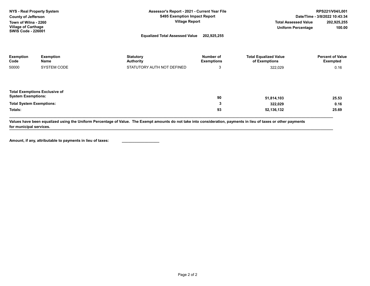| <b>NYS - Real Property System</b><br><b>County of Jefferson</b><br>Town of Wilna - 2260<br><b>Village of Carthage</b><br><b>SWIS Code - 226001</b> |                                                | Assessor's Report - 2021 - Current Year File<br><b>S495 Exemption Impact Report</b><br><b>Village Report</b><br><b>Equalized Total Assessed Value</b><br>202,925,255 |                                     | RPS221/V04/L001<br>Date/Time - 3/8/2022 10:43:34<br>202,925,255<br><b>Total Assessed Value</b><br>100.00<br><b>Uniform Percentage</b> |                                                    |
|----------------------------------------------------------------------------------------------------------------------------------------------------|------------------------------------------------|----------------------------------------------------------------------------------------------------------------------------------------------------------------------|-------------------------------------|---------------------------------------------------------------------------------------------------------------------------------------|----------------------------------------------------|
| <b>Exemption</b><br>Code<br>50000                                                                                                                  | <b>Exemption</b><br>Name<br><b>SYSTEM CODE</b> | <b>Statutory</b><br><b>Authority</b><br>STATUTORY AUTH NOT DEFINED                                                                                                   | Number of<br><b>Exemptions</b><br>3 | <b>Total Equalized Value</b><br>of Exemptions<br>322,029                                                                              | <b>Percent of Value</b><br><b>Exempted</b><br>0.16 |
| <b>Total Exemptions Exclusive of</b><br><b>System Exemptions:</b><br><b>Total System Exemptions:</b><br>Totals:                                    |                                                |                                                                                                                                                                      | 90<br>3<br>93                       | 51,814,103<br>322,029<br>52,136,132                                                                                                   | 25.53<br>0.16<br>25.69                             |

**\_\_\_\_\_\_\_\_\_\_\_\_\_\_\_\_\_\_\_\_\_\_\_\_\_\_\_\_\_\_\_\_\_\_\_\_\_\_\_\_\_\_\_\_\_\_\_\_\_\_\_\_\_\_\_\_\_\_\_\_\_\_\_\_\_\_\_\_\_\_\_\_\_\_\_\_\_\_\_\_\_\_\_\_\_\_\_\_\_\_\_\_\_\_\_\_\_\_\_\_\_\_\_\_\_\_\_\_\_\_\_\_\_\_\_\_\_\_\_\_\_\_\_\_\_\_\_\_\_\_\_\_\_\_\_\_\_\_\_\_\_\_\_\_\_\_\_\_\_\_\_\_\_\_\_\_ Values have been equalized using the Uniform Percentage of Value. The Exempt amounts do not take into consideration, payments in lieu of taxes or other payments for municipal services.**

**\_\_\_\_\_\_\_\_\_\_\_\_\_\_\_\_\_\_**

**Amount, if any, attributable to payments in lieu of taxes:**